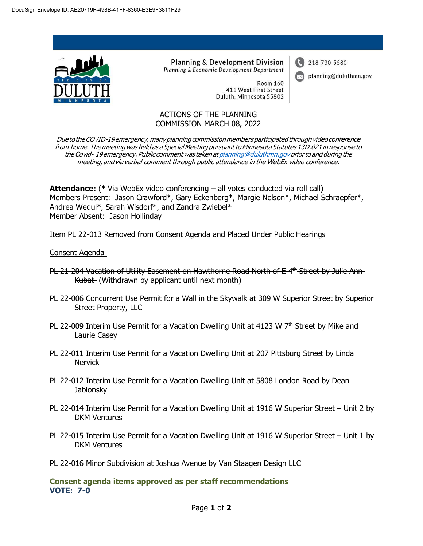

**Planning & Development Division** Planning & Economic Development Department

> **Room 160** 411 West First Street Duluth, Minnesota 55802

218-730-5580

planning@duluthmn.gov

## ACTIONS OF THE PLANNING COMMISSION MARCH 08, 2022

Due to the COVID-19 emergency, many planning commission members participated through video conference from home. The meeting was held as a Special Meeting pursuant to Minnesota Statutes 13D.021 in response to the Covid- 19emergency. Public commentwas takenat [planning@duluthmn.govp](mailto:planning@duluthmn.gov)riorto and during the meeting, andvia verbal comment through public attendance in the WebEx video conference.

**Attendance:** (\* Via WebEx video conferencing – all votes conducted via roll call) Members Present: Jason Crawford\*, Gary Eckenberg\*, Margie Nelson\*, Michael Schraepfer\*, Andrea Wedul\*, Sarah Wisdorf\*, and Zandra Zwiebel\* Member Absent: Jason Hollinday

Item PL 22-013 Removed from Consent Agenda and Placed Under Public Hearings

## Consent Agenda

- PL 21-204 Vacation of Utility Easement on Hawthorne Road North of E<sup>4th</sup> Street by Julie Ann-Kubat (Withdrawn by applicant until next month)
- PL 22-006 Concurrent Use Permit for a Wall in the Skywalk at 309 W Superior Street by Superior Street Property, LLC
- PL 22-009 Interim Use Permit for a Vacation Dwelling Unit at 4123 W 7<sup>th</sup> Street by Mike and Laurie Casey
- PL 22-011 Interim Use Permit for a Vacation Dwelling Unit at 207 Pittsburg Street by Linda **Nervick**
- PL 22-012 Interim Use Permit for a Vacation Dwelling Unit at 5808 London Road by Dean Jablonsky
- PL 22-014 Interim Use Permit for a Vacation Dwelling Unit at 1916 W Superior Street Unit 2 by DKM Ventures
- PL 22-015 Interim Use Permit for a Vacation Dwelling Unit at 1916 W Superior Street Unit 1 by DKM Ventures
- PL 22-016 Minor Subdivision at Joshua Avenue by Van Staagen Design LLC

**Consent agenda items approved as per staff recommendations VOTE: 7-0**